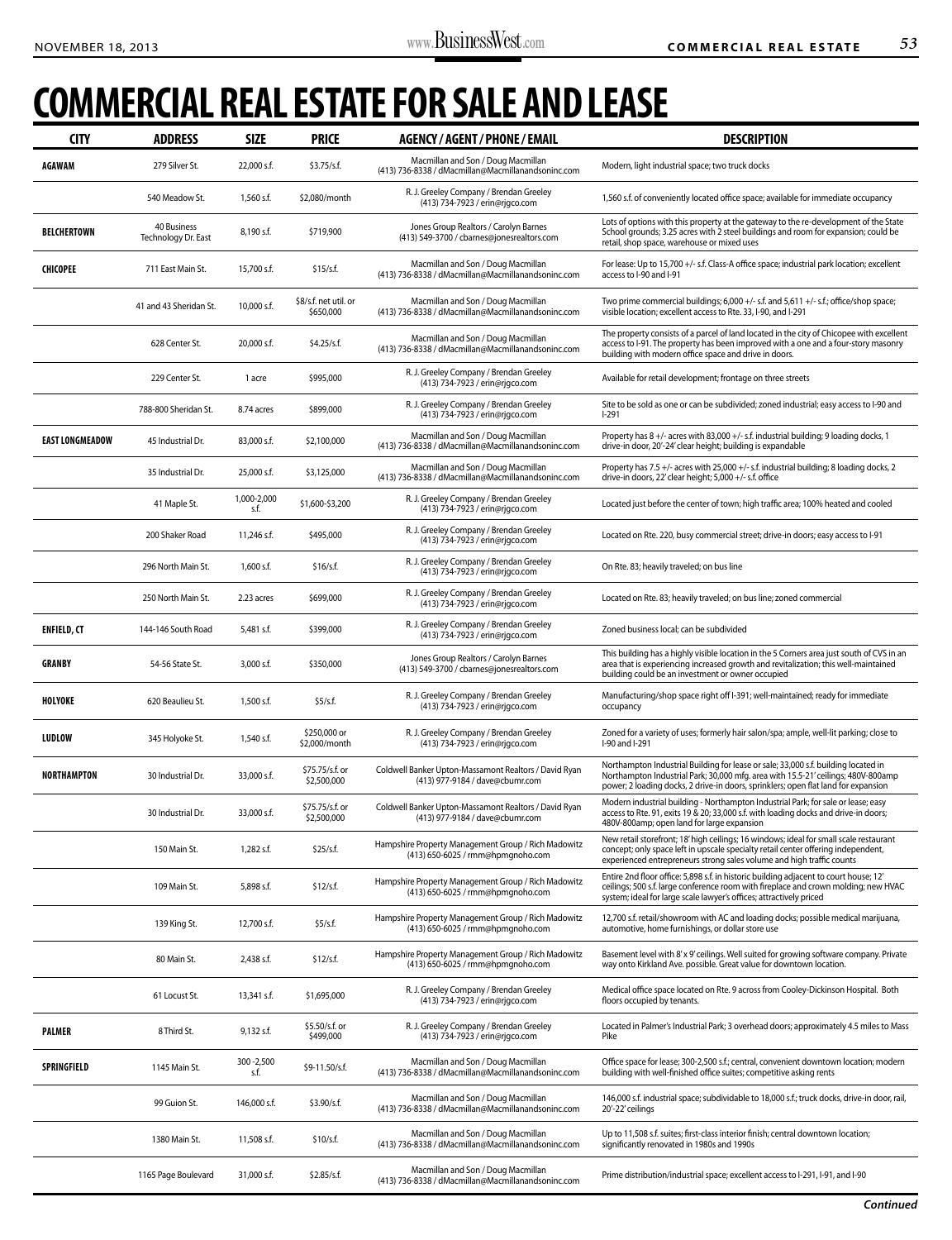## **Commercial Real Estate For Sale and Lease**

| <b>CITY</b>            | <b>ADDRESS</b>                     | <b>SIZE</b>         | <b>PRICE</b>                       | <b>AGENCY / AGENT / PHONE / EMAIL</b>                                                    | <b>DESCRIPTION</b>                                                                                                                                                                                                                                            |
|------------------------|------------------------------------|---------------------|------------------------------------|------------------------------------------------------------------------------------------|---------------------------------------------------------------------------------------------------------------------------------------------------------------------------------------------------------------------------------------------------------------|
| <b>AGAWAM</b>          | 279 Silver St.                     | 22,000 s.f.         | \$3.75/s.f.                        | Macmillan and Son / Doug Macmillan<br>(413) 736-8338 / dMacmillan@Macmillanandsoninc.com | Modern, light industrial space; two truck docks                                                                                                                                                                                                               |
|                        | 540 Meadow St.                     | 1,560 s.f.          | \$2,080/month                      | R. J. Greeley Company / Brendan Greeley<br>(413) 734-7923 / erin@rjqco.com               | 1,560 s.f. of conveniently located office space; available for immediate occupancy                                                                                                                                                                            |
| <b>BELCHERTOWN</b>     | 40 Business<br>Technology Dr. East | 8,190 s.f.          | \$719,900                          | Jones Group Realtors / Carolyn Barnes<br>(413) 549-3700 / cbarnes@jonesrealtors.com      | Lots of options with this property at the gateway to the re-development of the State<br>School grounds; 3.25 acres with 2 steel buildings and room for expansion; could be<br>retail, shop space, warehouse or mixed uses                                     |
| <b>CHICOPEE</b>        | 711 East Main St.                  | 15,700 s.f.         | \$15/s.f.                          | Macmillan and Son / Doug Macmillan<br>(413) 736-8338 / dMacmillan@Macmillanandsoninc.com | For lease: Up to 15,700 +/- s.f. Class-A office space; industrial park location; excellent<br>access to I-90 and I-91                                                                                                                                         |
|                        | 41 and 43 Sheridan St.             | 10,000 s.f.         | \$8/s.f. net util. or<br>\$650,000 | Macmillan and Son / Doug Macmillan<br>(413) 736-8338 / dMacmillan@Macmillanandsoninc.com | Two prime commercial buildings; 6,000 +/- s.f. and 5,611 +/- s.f.; office/shop space;<br>visible location; excellent access to Rte. 33, I-90, and I-291                                                                                                       |
|                        | 628 Center St.                     | 20,000 s.f.         | \$4.25/s.f.                        | Macmillan and Son / Doug Macmillan<br>(413) 736-8338 / dMacmillan@Macmillanandsoninc.com | The property consists of a parcel of land located in the city of Chicopee with excellent<br>access to I-91. The property has been improved with a one and a four-story masonry<br>building with modern office space and drive in doors.                       |
|                        | 229 Center St.                     | 1 acre              | \$995,000                          | R. J. Greeley Company / Brendan Greeley<br>(413) 734-7923 / erin@rjgco.com               | Available for retail development; frontage on three streets                                                                                                                                                                                                   |
|                        | 788-800 Sheridan St.               | 8.74 acres          | \$899,000                          | R. J. Greeley Company / Brendan Greeley<br>(413) 734-7923 / erin@rjgco.com               | Site to be sold as one or can be subdivided; zoned industrial; easy access to I-90 and<br>l-291                                                                                                                                                               |
| <b>EAST LONGMEADOW</b> | 45 Industrial Dr.                  | 83,000 s.f.         | \$2,100,000                        | Macmillan and Son / Doug Macmillan<br>(413) 736-8338 / dMacmillan@Macmillanandsoninc.com | Property has 8 +/- acres with 83,000 +/- s.f. industrial building; 9 loading docks, 1<br>drive-in door, 20'-24' clear height; building is expandable                                                                                                          |
|                        | 35 Industrial Dr.                  | 25,000 s.f.         | \$3,125,000                        | Macmillan and Son / Doug Macmillan<br>(413) 736-8338 / dMacmillan@Macmillanandsoninc.com | Property has 7.5 +/- acres with 25,000 +/- s.f. industrial building; 8 loading docks, 2<br>drive-in doors, 22' clear height; 5,000 +/- s.f. office                                                                                                            |
|                        | 41 Maple St.                       | 1,000-2,000<br>s.f. | \$1,600-\$3,200                    | R. J. Greeley Company / Brendan Greeley<br>(413) 734-7923 / erin@rjgco.com               | Located just before the center of town; high traffic area; 100% heated and cooled                                                                                                                                                                             |
|                        | 200 Shaker Road                    | 11,246 s.f.         | \$495,000                          | R. J. Greeley Company / Brendan Greeley<br>(413) 734-7923 / erin@rjgco.com               | Located on Rte. 220, busy commercial street; drive-in doors; easy access to I-91                                                                                                                                                                              |
|                        | 296 North Main St.                 | 1,600 s.f.          | \$16/s.f.                          | R. J. Greeley Company / Brendan Greeley<br>(413) 734-7923 / erin@rjgco.com               | On Rte. 83; heavily traveled; on bus line                                                                                                                                                                                                                     |
|                        | 250 North Main St.                 | 2.23 acres          | \$699,000                          | R. J. Greeley Company / Brendan Greeley<br>(413) 734-7923 / erin@rjgco.com               | Located on Rte. 83; heavily traveled; on bus line; zoned commercial                                                                                                                                                                                           |
| <b>ENFIELD, CT</b>     | 144-146 South Road                 | 5,481 s.f.          | \$399,000                          | R. J. Greeley Company / Brendan Greeley<br>(413) 734-7923 / erin@rjgco.com               | Zoned business local; can be subdivided                                                                                                                                                                                                                       |
| <b>GRANBY</b>          | 54-56 State St.                    | 3,000 s.f.          | \$350,000                          | Jones Group Realtors / Carolyn Barnes<br>(413) 549-3700 / cbarnes@jonesrealtors.com      | This building has a highly visible location in the 5 Corners area just south of CVS in an<br>area that is experiencing increased growth and revitalization; this well-maintained<br>building could be an investment or owner occupied                         |
| <b>HOLYOKE</b>         | 620 Beaulieu St.                   | 1,500 s.f.          | \$5/s.f.                           | R. J. Greeley Company / Brendan Greeley<br>(413) 734-7923 / erin@rjgco.com               | Manufacturing/shop space right off I-391; well-maintained; ready for immediate<br>occupancy                                                                                                                                                                   |
| <b>LUDLOW</b>          | 345 Holyoke St.                    | 1,540 s.f.          | \$250,000 or<br>\$2,000/month      | R. J. Greeley Company / Brendan Greeley<br>(413) 734-7923 / erin@rjgco.com               | Zoned for a variety of uses; formerly hair salon/spa; ample, well-lit parking; close to<br>I-90 and I-291                                                                                                                                                     |
| <b>NORTHAMPTON</b>     | 30 Industrial Dr.                  | 33,000 s.f.         | \$75.75/s.f. or<br>\$2,500,000     | Coldwell Banker Upton-Massamont Realtors / David Ryan<br>(413) 977-9184 / dave@cbumr.com | Northampton Industrial Building for lease or sale; 33,000 s.f. building located in<br>Northampton Industrial Park; 30,000 mfg. area with 15.5-21' ceilings; 480V-800amp<br>power; 2 loading docks, 2 drive-in doors, sprinklers; open flat land for expansion |
|                        | 30 Industrial Dr.                  | 33,000 s.f.         | \$75.75/s.f. or<br>\$2,500,000     | Coldwell Banker Upton-Massamont Realtors / David Ryan<br>(413) 977-9184 / dave@cbumr.com | Modern industrial building - Northampton Industrial Park; for sale or lease; easy<br>access to Rte. 91, exits 19 & 20; 33,000 s.f. with loading docks and drive-in doors;<br>480V-800amp; open land for large expansion                                       |
|                        | 150 Main St.                       | 1,282 s.f.          | \$25/s.f.                          | Hampshire Property Management Group / Rich Madowitz<br>(413) 650-6025 / rmm@hpmgnoho.com | New retail storefront; 18' high ceilings; 16 windows; ideal for small scale restaurant<br>concept; only space left in upscale specialty retail center offering independent,<br>experienced entrepreneurs strong sales volume and high traffic counts          |
|                        | 109 Main St.                       | 5,898 s.f.          | \$12/s.f.                          | Hampshire Property Management Group / Rich Madowitz<br>(413) 650-6025 / rmm@hpmgnoho.com | Entire 2nd floor office: 5,898 s.f. in historic building adjacent to court house; 12'<br>ceilings; 500 s.f. large conference room with fireplace and crown molding; new HVAC<br>system; ideal for large scale lawyer's offices; attractively priced           |
|                        | 139 King St.                       | 12,700 s.f.         | \$5/s.f.                           | Hampshire Property Management Group / Rich Madowitz<br>(413) 650-6025 / rmm@hpmgnoho.com | 12,700 s.f. retail/showroom with AC and loading docks; possible medical marijuana,<br>automotive, home furnishings, or dollar store use                                                                                                                       |
|                        | 80 Main St.                        | 2,438 s.f.          | \$12/s.f.                          | Hampshire Property Management Group / Rich Madowitz<br>(413) 650-6025 / rmm@hpmgnoho.com | Basement level with 8'x 9' ceilings. Well suited for growing software company. Private<br>way onto Kirkland Ave. possible. Great value for downtown location.                                                                                                 |
|                        | 61 Locust St.                      | 13,341 s.f.         | \$1,695,000                        | R. J. Greeley Company / Brendan Greeley<br>(413) 734-7923 / erin@rjgco.com               | Medical office space located on Rte. 9 across from Cooley-Dickinson Hospital. Both<br>floors occupied by tenants.                                                                                                                                             |
| <b>PALMER</b>          | 8 Third St.                        | 9,132 s.f.          | \$5.50/s.f. or<br>\$499,000        | R. J. Greeley Company / Brendan Greeley<br>(413) 734-7923 / erin@rjgco.com               | Located in Palmer's Industrial Park; 3 overhead doors; approximately 4.5 miles to Mass<br>Pike                                                                                                                                                                |
| <b>SPRINGFIELD</b>     | 1145 Main St.                      | 300-2,500<br>s.f.   | \$9-11.50/s.f.                     | Macmillan and Son / Doug Macmillan<br>(413) 736-8338 / dMacmillan@Macmillanandsoninc.com | Office space for lease; 300-2,500 s.f.; central, convenient downtown location; modern<br>building with well-finished office suites; competitive asking rents                                                                                                  |
|                        | 99 Guion St.                       | 146,000 s.f.        | \$3.90/s.f.                        | Macmillan and Son / Doug Macmillan<br>(413) 736-8338 / dMacmillan@Macmillanandsoninc.com | 146,000 s.f. industrial space; subdividable to 18,000 s.f.; truck docks, drive-in door, rail,<br>20'-22' ceilings                                                                                                                                             |
|                        | 1380 Main St.                      | 11,508 s.f.         | \$10/s.f.                          | Macmillan and Son / Doug Macmillan<br>(413) 736-8338 / dMacmillan@Macmillanandsoninc.com | Up to 11,508 s.f. suites; first-class interior finish; central downtown location;<br>significantly renovated in 1980s and 1990s                                                                                                                               |
|                        | 1165 Page Boulevard                | 31,000 s.f.         | \$2.85/s.f.                        | Macmillan and Son / Doug Macmillan<br>(413) 736-8338 / dMacmillan@Macmillanandsoninc.com | Prime distribution/industrial space; excellent access to I-291, I-91, and I-90                                                                                                                                                                                |